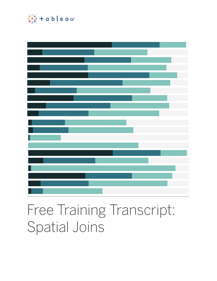

# Free Training Transcript: Spatial Joins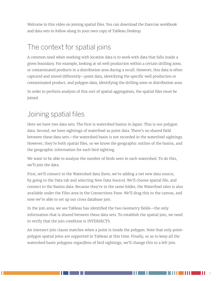Welcome to this video on joining spatial files. You can download the Exercise workbook and data sets to follow along in your own copy of Tableau Desktop.

## The context for spatial joins

A common need when working with location data is to work with data that falls inside a given boundary. For example, looking at oil well production within a certain drilling zone, or contaminated products in a distribution area during a recall. However, this data is often captured and stored differently—point data, identifying the specific well production or contaminated product, and polygon data, identifying the drilling zone or distribution area.

In order to perform analysis of this sort of spatial aggregation, the spatial files must be joined.

#### Joining spatial files

Here we have two data sets. The first is watershed basins in Japan. This is our polygon data. Second, we have sightings of waterfowl as point data. There's no shared field between these data sets—the watershed basin is not recorded in the waterfowl sightings. However, they're both spatial files, so we know the geographic outline of the basins, and the geographic information for each bird sighting.

We want to be able to analyze the number of birds seen in each watershed. To do this, we'll join the data.

First, we'll connect to the Watershed data (here, we're adding a net new data source, by going to the Data tab and selecting New Data Source). We'll choose spatial file, and connect to the Basins data. Because they're in the same folder, the Waterfowl sites is also available under the Files area in the Connections Pane. We'll drag this to the canvas, and now we're able to set up our cross database join.

In the join area, we see Tableau has identified the two Geometry fields—the only information that is shared between these data sets. To establish the spatial join, we need to verify that the join condition is INTERSECTS.

An intersect join clause matches when a point is inside the polygon. Note that only pointpolygon spatial joins are supported in Tableau at this time. Finally, so as to keep all the watershed basin polygons regardless of bird sightings, we'll change this to a left join.